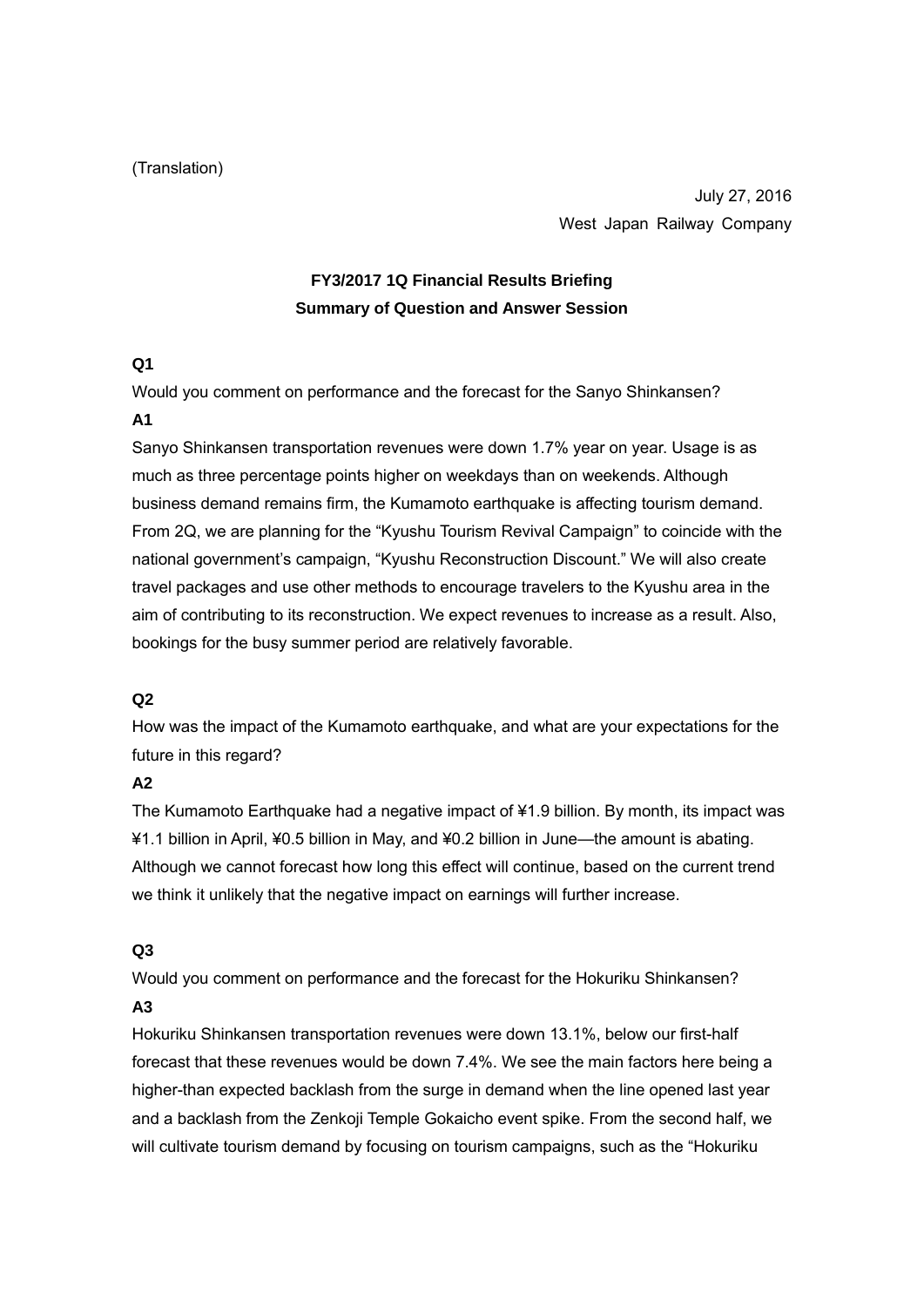#### (Translation)

July 27, 2016 West Japan Railway Company

# **FY3/2017 1Q Financial Results Briefing Summary of Question and Answer Session**

#### **Q1**

Would you comment on performance and the forecast for the Sanyo Shinkansen?

#### **A1**

Sanyo Shinkansen transportation revenues were down 1.7% year on year. Usage is as much as three percentage points higher on weekdays than on weekends. Although business demand remains firm, the Kumamoto earthquake is affecting tourism demand. From 2Q, we are planning for the "Kyushu Tourism Revival Campaign" to coincide with the national government's campaign, "Kyushu Reconstruction Discount." We will also create travel packages and use other methods to encourage travelers to the Kyushu area in the aim of contributing to its reconstruction. We expect revenues to increase as a result. Also, bookings for the busy summer period are relatively favorable.

#### **Q2**

How was the impact of the Kumamoto earthquake, and what are your expectations for the future in this regard?

#### **A2**

The Kumamoto Earthquake had a negative impact of ¥1.9 billion. By month, its impact was ¥1.1 billion in April, ¥0.5 billion in May, and ¥0.2 billion in June—the amount is abating. Although we cannot forecast how long this effect will continue, based on the current trend we think it unlikely that the negative impact on earnings will further increase.

#### **Q3**

Would you comment on performance and the forecast for the Hokuriku Shinkansen?

#### **A3**

Hokuriku Shinkansen transportation revenues were down 13.1%, below our first-half forecast that these revenues would be down 7.4%. We see the main factors here being a higher-than expected backlash from the surge in demand when the line opened last year and a backlash from the Zenkoji Temple Gokaicho event spike. From the second half, we will cultivate tourism demand by focusing on tourism campaigns, such as the "Hokuriku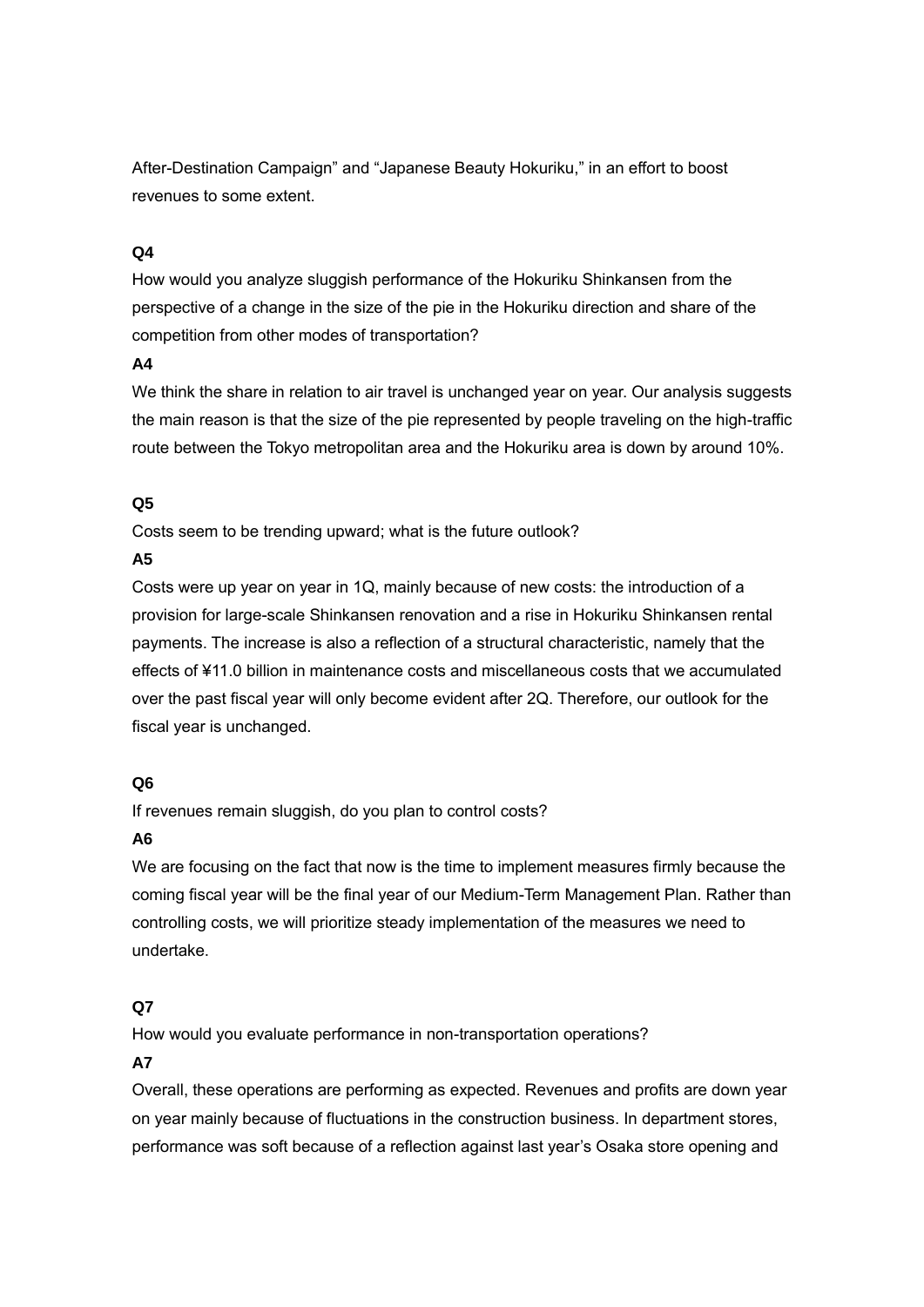After-Destination Campaign" and "Japanese Beauty Hokuriku," in an effort to boost revenues to some extent.

#### **Q4**

How would you analyze sluggish performance of the Hokuriku Shinkansen from the perspective of a change in the size of the pie in the Hokuriku direction and share of the competition from other modes of transportation?

#### **A4**

We think the share in relation to air travel is unchanged year on year. Our analysis suggests the main reason is that the size of the pie represented by people traveling on the high-traffic route between the Tokyo metropolitan area and the Hokuriku area is down by around 10%.

#### **Q5**

Costs seem to be trending upward; what is the future outlook?

#### **A5**

Costs were up year on year in 1Q, mainly because of new costs: the introduction of a provision for large-scale Shinkansen renovation and a rise in Hokuriku Shinkansen rental payments. The increase is also a reflection of a structural characteristic, namely that the effects of ¥11.0 billion in maintenance costs and miscellaneous costs that we accumulated over the past fiscal year will only become evident after 2Q. Therefore, our outlook for the fiscal year is unchanged.

## **Q6**

If revenues remain sluggish, do you plan to control costs?

## **A6**

We are focusing on the fact that now is the time to implement measures firmly because the coming fiscal year will be the final year of our Medium-Term Management Plan. Rather than controlling costs, we will prioritize steady implementation of the measures we need to undertake.

## **Q7**

How would you evaluate performance in non-transportation operations?

## **A7**

Overall, these operations are performing as expected. Revenues and profits are down year on year mainly because of fluctuations in the construction business. In department stores, performance was soft because of a reflection against last year's Osaka store opening and